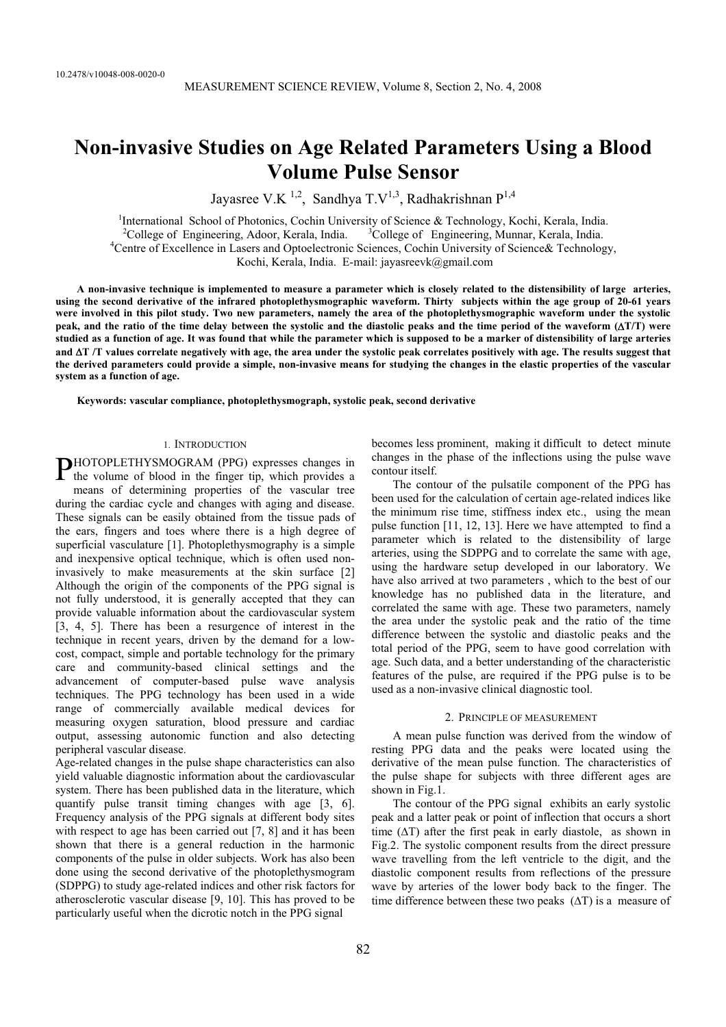# **Non-invasive Studies on Age Related Parameters Using a Blood Volume Pulse Sensor**

Jayasree V.K <sup>1,2</sup>, Sandhya T.V<sup>1,3</sup>, Radhakrishnan P<sup>1,4</sup>

<sup>1</sup>International School of Photonics, Cochin University of Science & Technology, Kochi, Kerala, India.  $2^2$ College of Engineering, Adoor, Kerala, India.  $3$ College of Engineering, Munnar, Kerala, India. 4 Centre of Excellence in Lasers and Optoelectronic Sciences, Cochin University of Science& Technology, Kochi, Kerala, India. E-mail: jayasreevk@gmail.com

**A non-invasive technique is implemented to measure a parameter which is closely related to the distensibility of large arteries, using the second derivative of the infrared photoplethysmographic waveform. Thirty subjects within the age group of 20-61 years were involved in this pilot study. Two new parameters, namely the area of the photoplethysmographic waveform under the systolic peak, and the ratio of the time delay between the systolic and the diastolic peaks and the time period of the waveform (**'**T/T) were studied as a function of age. It was found that while the parameter which is supposed to be a marker of distensibility of large arteries and** '**T /T values correlate negatively with age, the area under the systolic peak correlates positively with age. The results suggest that the derived parameters could provide a simple, non-invasive means for studying the changes in the elastic properties of the vascular system as a function of age.** 

**Keywords: vascular compliance, photoplethysmograph, systolic peak, second derivative** 

## 1. INTRODUCTION

PHOTOPLETHYSMOGRAM (PPG) expresses changes in the volume of blood in the finger tip, which provides a the volume of blood in the finger tip, which provides a means of determining properties of the vascular tree during the cardiac cycle and changes with aging and disease. These signals can be easily obtained from the tissue pads of the ears, fingers and toes where there is a high degree of superficial vasculature [1]. Photoplethysmography is a simple and inexpensive optical technique, which is often used noninvasively to make measurements at the skin surface [2] Although the origin of the components of the PPG signal is not fully understood, it is generally accepted that they can provide valuable information about the cardiovascular system [3, 4, 5]. There has been a resurgence of interest in the technique in recent years, driven by the demand for a lowcost, compact, simple and portable technology for the primary care and community-based clinical settings and the advancement of computer-based pulse wave analysis techniques. The PPG technology has been used in a wide range of commercially available medical devices for measuring oxygen saturation, blood pressure and cardiac output, assessing autonomic function and also detecting peripheral vascular disease.

Age-related changes in the pulse shape characteristics can also yield valuable diagnostic information about the cardiovascular system. There has been published data in the literature, which quantify pulse transit timing changes with age [3, 6]. Frequency analysis of the PPG signals at different body sites with respect to age has been carried out [7, 8] and it has been shown that there is a general reduction in the harmonic components of the pulse in older subjects. Work has also been done using the second derivative of the photoplethysmogram (SDPPG) to study age-related indices and other risk factors for atherosclerotic vascular disease [9, 10]. This has proved to be particularly useful when the dicrotic notch in the PPG signal

becomes less prominent, making it difficult to detect minute changes in the phase of the inflections using the pulse wave contour itself.

The contour of the pulsatile component of the PPG has been used for the calculation of certain age-related indices like the minimum rise time, stiffness index etc., using the mean pulse function [11, 12, 13]. Here we have attempted to find a parameter which is related to the distensibility of large arteries, using the SDPPG and to correlate the same with age, using the hardware setup developed in our laboratory. We have also arrived at two parameters , which to the best of our knowledge has no published data in the literature, and correlated the same with age. These two parameters, namely the area under the systolic peak and the ratio of the time difference between the systolic and diastolic peaks and the total period of the PPG, seem to have good correlation with age. Such data, and a better understanding of the characteristic features of the pulse, are required if the PPG pulse is to be used as a non-invasive clinical diagnostic tool.

### 2. PRINCIPLE OF MEASUREMENT

A mean pulse function was derived from the window of resting PPG data and the peaks were located using the derivative of the mean pulse function. The characteristics of the pulse shape for subjects with three different ages are shown in Fig.1.

The contour of the PPG signal exhibits an early systolic peak and a latter peak or point of inflection that occurs a short time  $(\Delta T)$  after the first peak in early diastole, as shown in Fig.2. The systolic component results from the direct pressure wave travelling from the left ventricle to the digit, and the diastolic component results from reflections of the pressure wave by arteries of the lower body back to the finger. The time difference between these two peaks  $(\Delta T)$  is a measure of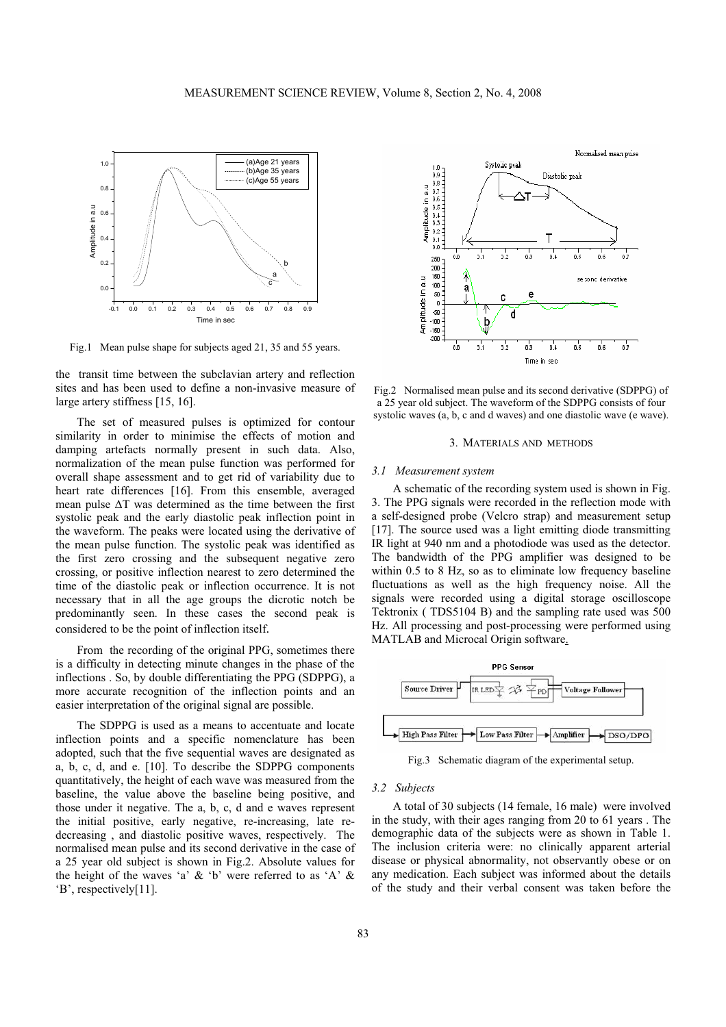

Fig.1 Mean pulse shape for subjects aged 21, 35 and 55 years.

the transit time between the subclavian artery and reflection sites and has been used to define a non-invasive measure of large artery stiffness [15, 16].

The set of measured pulses is optimized for contour similarity in order to minimise the effects of motion and damping artefacts normally present in such data. Also, normalization of the mean pulse function was performed for overall shape assessment and to get rid of variability due to heart rate differences [16]. From this ensemble, averaged mean pulse  $\Delta T$  was determined as the time between the first systolic peak and the early diastolic peak inflection point in the waveform. The peaks were located using the derivative of the mean pulse function. The systolic peak was identified as the first zero crossing and the subsequent negative zero crossing, or positive inflection nearest to zero determined the time of the diastolic peak or inflection occurrence. It is not necessary that in all the age groups the dicrotic notch be predominantly seen. In these cases the second peak is considered to be the point of inflection itself.

From the recording of the original PPG, sometimes there is a difficulty in detecting minute changes in the phase of the inflections . So, by double differentiating the PPG (SDPPG), a more accurate recognition of the inflection points and an easier interpretation of the original signal are possible.

The SDPPG is used as a means to accentuate and locate inflection points and a specific nomenclature has been adopted, such that the five sequential waves are designated as a, b, c, d, and e. [10]. To describe the SDPPG components quantitatively, the height of each wave was measured from the baseline, the value above the baseline being positive, and those under it negative. The a, b, c, d and e waves represent the initial positive, early negative, re-increasing, late redecreasing , and diastolic positive waves, respectively. The normalised mean pulse and its second derivative in the case of a 25 year old subject is shown in Fig.2. Absolute values for the height of the waves 'a'  $\&$  'b' were referred to as 'A'  $\&$ 'B', respectively[11].



Fig.2 Normalised mean pulse and its second derivative (SDPPG) of a 25 year old subject. The waveform of the SDPPG consists of four systolic waves (a, b, c and d waves) and one diastolic wave (e wave).

### 3. MATERIALS AND METHODS

#### *3.1 Measurement system*

A schematic of the recording system used is shown in Fig. 3. The PPG signals were recorded in the reflection mode with a self-designed probe (Velcro strap) and measurement setup [17]. The source used was a light emitting diode transmitting IR light at 940 nm and a photodiode was used as the detector. The bandwidth of the PPG amplifier was designed to be within 0.5 to 8 Hz, so as to eliminate low frequency baseline fluctuations as well as the high frequency noise. All the signals were recorded using a digital storage oscilloscope Tektronix ( TDS5104 B) and the sampling rate used was 500 Hz. All processing and post-processing were performed using MATLAB and Microcal Origin software.



Fig.3 Schematic diagram of the experimental setup.

# *3.2 Subjects*

A total of 30 subjects (14 female, 16 male) were involved in the study, with their ages ranging from 20 to 61 years . The demographic data of the subjects were as shown in Table 1. The inclusion criteria were: no clinically apparent arterial disease or physical abnormality, not observantly obese or on any medication. Each subject was informed about the details of the study and their verbal consent was taken before the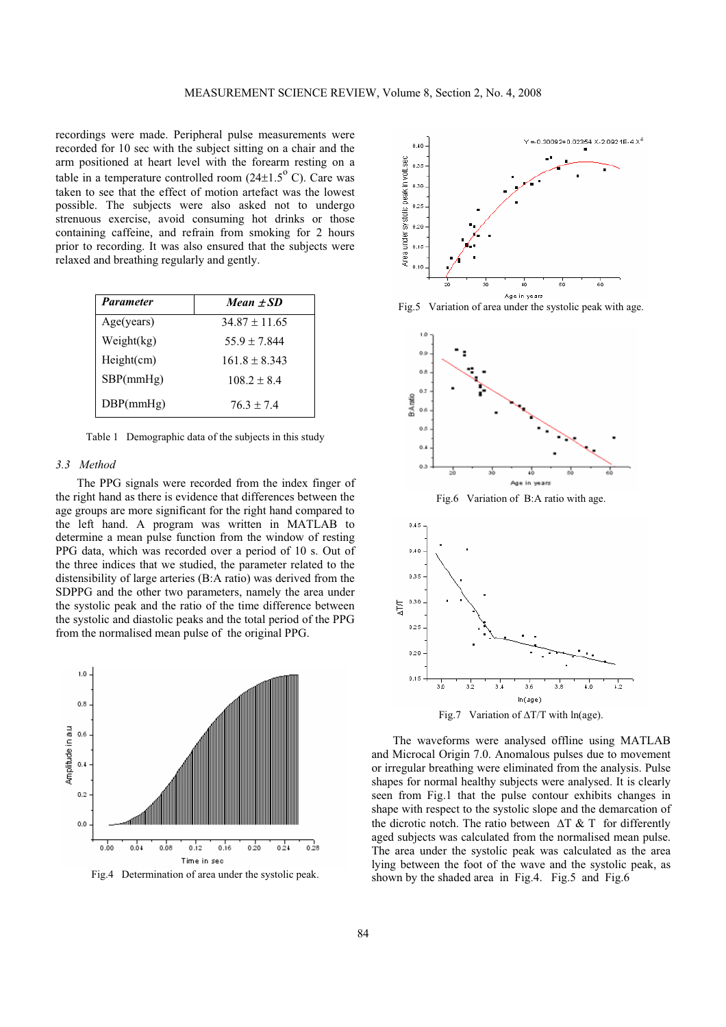recordings were made. Peripheral pulse measurements were recorded for 10 sec with the subject sitting on a chair and the arm positioned at heart level with the forearm resting on a table in a temperature controlled room  $(24\pm1.5^{\circ} \text{ C})$ . Care was taken to see that the effect of motion artefact was the lowest possible. The subjects were also asked not to undergo strenuous exercise, avoid consuming hot drinks or those containing caffeine, and refrain from smoking for 2 hours prior to recording. It was also ensured that the subjects were relaxed and breathing regularly and gently.

| <b>Parameter</b> | Mean $\pm SD$   |
|------------------|-----------------|
| Age(years)       | $34.87 + 11.65$ |
| Weight(kg)       | $55.9 + 7.844$  |
| Height(cm)       | $161.8 + 8.343$ |
| SBP(mmHg)        | $108.2 + 8.4$   |
| DBP(mmHg)        | $76.3 + 7.4$    |

Table 1 Demographic data of the subjects in this study

# *3.3 Method*

The PPG signals were recorded from the index finger of the right hand as there is evidence that differences between the age groups are more significant for the right hand compared to the left hand. A program was written in MATLAB to determine a mean pulse function from the window of resting PPG data, which was recorded over a period of 10 s. Out of the three indices that we studied, the parameter related to the distensibility of large arteries (B:A ratio) was derived from the SDPPG and the other two parameters, namely the area under the systolic peak and the ratio of the time difference between the systolic and diastolic peaks and the total period of the PPG from the normalised mean pulse of the original PPG.



Fig.4 Determination of area under the systolic peak.



Fig.5 Variation of area under the systolic peak with age.



Fig.7 Variation of  $\Delta T/T$  with ln(age).

The waveforms were analysed offline using MATLAB and Microcal Origin 7.0. Anomalous pulses due to movement or irregular breathing were eliminated from the analysis. Pulse shapes for normal healthy subjects were analysed. It is clearly seen from Fig.1 that the pulse contour exhibits changes in shape with respect to the systolic slope and the demarcation of the dicrotic notch. The ratio between  $\Delta T \& T$  for differently aged subjects was calculated from the normalised mean pulse. The area under the systolic peak was calculated as the area lying between the foot of the wave and the systolic peak, as shown by the shaded area in Fig.4. Fig.5 and Fig.6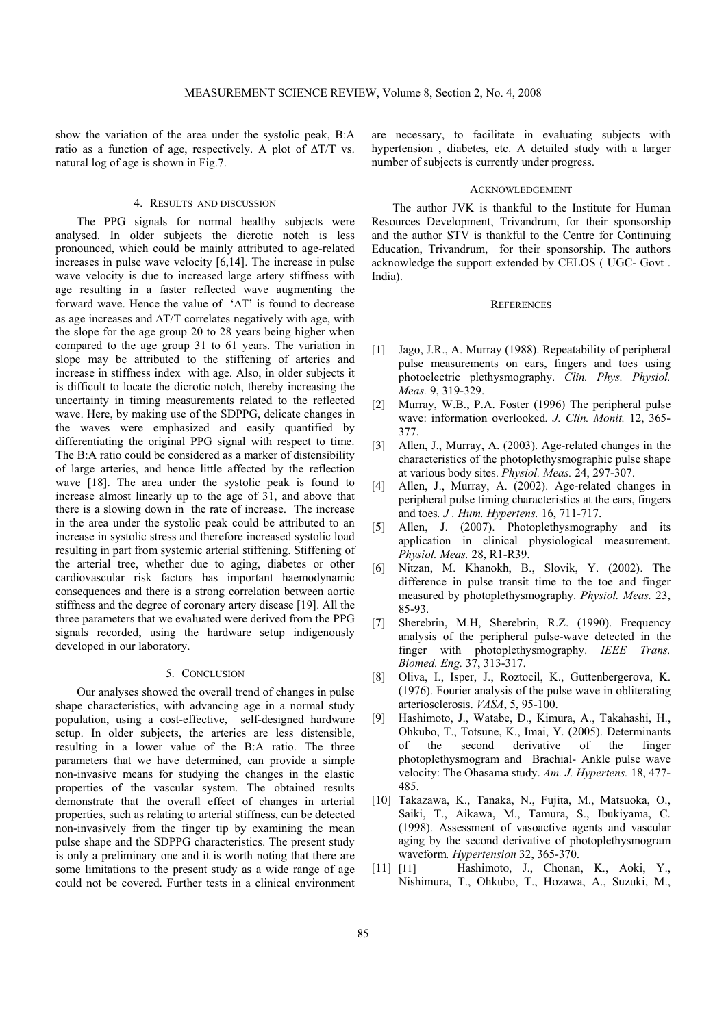show the variation of the area under the systolic peak, B:A ratio as a function of age, respectively. A plot of  $\Delta T/T$  vs. natural log of age is shown in Fig.7.

# 4. RESULTS AND DISCUSSION

The PPG signals for normal healthy subjects were analysed. In older subjects the dicrotic notch is less pronounced, which could be mainly attributed to age-related increases in pulse wave velocity [6,14]. The increase in pulse wave velocity is due to increased large artery stiffness with age resulting in a faster reflected wave augmenting the forward wave. Hence the value of  $'\Delta T'$  is found to decrease as age increases and  $\Delta T/T$  correlates negatively with age, with the slope for the age group 20 to 28 years being higher when compared to the age group 31 to 61 years. The variation in slope may be attributed to the stiffening of arteries and increase in stiffness index with age. Also, in older subjects it is difficult to locate the dicrotic notch, thereby increasing the uncertainty in timing measurements related to the reflected wave. Here, by making use of the SDPPG, delicate changes in the waves were emphasized and easily quantified by differentiating the original PPG signal with respect to time. The B:A ratio could be considered as a marker of distensibility of large arteries, and hence little affected by the reflection wave [18]. The area under the systolic peak is found to increase almost linearly up to the age of 31, and above that there is a slowing down in the rate of increase. The increase in the area under the systolic peak could be attributed to an increase in systolic stress and therefore increased systolic load resulting in part from systemic arterial stiffening. Stiffening of the arterial tree, whether due to aging, diabetes or other cardiovascular risk factors has important haemodynamic consequences and there is a strong correlation between aortic stiffness and the degree of coronary artery disease [19]. All the three parameters that we evaluated were derived from the PPG signals recorded, using the hardware setup indigenously developed in our laboratory.

# 5. CONCLUSION

Our analyses showed the overall trend of changes in pulse shape characteristics, with advancing age in a normal study population, using a cost-effective, self-designed hardware setup. In older subjects, the arteries are less distensible, resulting in a lower value of the B:A ratio. The three parameters that we have determined, can provide a simple non-invasive means for studying the changes in the elastic properties of the vascular system. The obtained results demonstrate that the overall effect of changes in arterial properties, such as relating to arterial stiffness, can be detected non-invasively from the finger tip by examining the mean pulse shape and the SDPPG characteristics. The present study is only a preliminary one and it is worth noting that there are some limitations to the present study as a wide range of age could not be covered. Further tests in a clinical environment

are necessary, to facilitate in evaluating subjects with hypertension , diabetes, etc. A detailed study with a larger number of subjects is currently under progress.

#### ACKNOWLEDGEMENT

The author JVK is thankful to the Institute for Human Resources Development, Trivandrum, for their sponsorship and the author STV is thankful to the Centre for Continuing Education, Trivandrum, for their sponsorship. The authors acknowledge the support extended by CELOS ( UGC- Govt . India).

# **REFERENCES**

- [1] Jago, J.R., A. Murray (1988). Repeatability of peripheral pulse measurements on ears, fingers and toes using photoelectric plethysmography. *Clin. Phys. Physiol. Meas.* 9, 319-329.
- [2] Murray, W.B., P.A. Foster (1996) The peripheral pulse wave: information overlooked*. J. Clin. Monit.* 12, 365- 377.
- [3] Allen, J., Murray, A. (2003). Age-related changes in the characteristics of the photoplethysmographic pulse shape at various body sites. *Physiol. Meas.* 24, 297-307.
- [4] Allen, J., Murray, A. (2002). Age-related changes in peripheral pulse timing characteristics at the ears, fingers and toes*. J . Hum. Hypertens.* 16, 711-717.
- [5] Allen, J. (2007). Photoplethysmography and its application in clinical physiological measurement. *Physiol. Meas.* 28, R1-R39.
- [6] Nitzan, M. Khanokh, B., Slovik, Y. (2002). The difference in pulse transit time to the toe and finger measured by photoplethysmography. *Physiol. Meas.* 23, 85-93.
- [7] Sherebrin, M.H, Sherebrin, R.Z. (1990). Frequency analysis of the peripheral pulse-wave detected in the finger with photoplethysmography. *IEEE Trans. Biomed. Eng.* 37, 313-317.
- [8] Oliva, I., Isper, J., Roztocil, K., Guttenbergerova, K. (1976). Fourier analysis of the pulse wave in obliterating arteriosclerosis. *VASA*, 5, 95-100.
- [9] Hashimoto, J., Watabe, D., Kimura, A., Takahashi, H., Ohkubo, T., Totsune, K., Imai, Y. (2005). Determinants of the second derivative of the finger photoplethysmogram and Brachial- Ankle pulse wave velocity: The Ohasama study. *Am. J. Hypertens.* 18, 477- 485.
- [10] Takazawa, K., Tanaka, N., Fujita, M., Matsuoka, O., Saiki, T., Aikawa, M., Tamura, S., Ibukiyama, C. (1998). Assessment of vasoactive agents and vascular aging by the second derivative of photoplethysmogram waveform*. Hypertension* 32, 365-370.
- [11] [11] Hashimoto, J., Chonan, K., Aoki, Y., Nishimura, T., Ohkubo, T., Hozawa, A., Suzuki, M.,